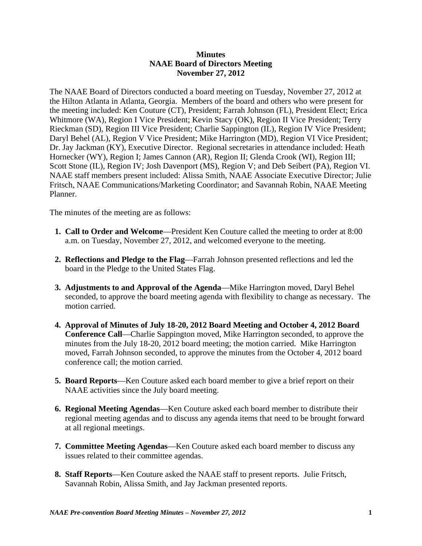## **Minutes NAAE Board of Directors Meeting November 27, 2012**

The NAAE Board of Directors conducted a board meeting on Tuesday, November 27, 2012 at the Hilton Atlanta in Atlanta, Georgia. Members of the board and others who were present for the meeting included: Ken Couture (CT), President; Farrah Johnson (FL), President Elect; Erica Whitmore (WA), Region I Vice President; Kevin Stacy (OK), Region II Vice President; Terry Rieckman (SD), Region III Vice President; Charlie Sappington (IL), Region IV Vice President; Daryl Behel (AL), Region V Vice President; Mike Harrington (MD), Region VI Vice President; Dr. Jay Jackman (KY), Executive Director. Regional secretaries in attendance included: Heath Hornecker (WY), Region I; James Cannon (AR), Region II; Glenda Crook (WI), Region III; Scott Stone (IL), Region IV; Josh Davenport (MS), Region V; and Deb Seibert (PA), Region VI. NAAE staff members present included: Alissa Smith, NAAE Associate Executive Director; Julie Fritsch, NAAE Communications/Marketing Coordinator; and Savannah Robin, NAAE Meeting Planner.

The minutes of the meeting are as follows:

- **1. Call to Order and Welcome**—President Ken Couture called the meeting to order at 8:00 a.m. on Tuesday, November 27, 2012, and welcomed everyone to the meeting.
- **2. Reflections and Pledge to the Flag**—Farrah Johnson presented reflections and led the board in the Pledge to the United States Flag.
- **3. Adjustments to and Approval of the Agenda**—Mike Harrington moved, Daryl Behel seconded, to approve the board meeting agenda with flexibility to change as necessary. The motion carried.
- **4. Approval of Minutes of July 18-20, 2012 Board Meeting and October 4, 2012 Board Conference Call**—Charlie Sappington moved, Mike Harrington seconded, to approve the minutes from the July 18-20, 2012 board meeting; the motion carried. Mike Harrington moved, Farrah Johnson seconded, to approve the minutes from the October 4, 2012 board conference call; the motion carried.
- **5. Board Reports**—Ken Couture asked each board member to give a brief report on their NAAE activities since the July board meeting.
- **6. Regional Meeting Agendas**—Ken Couture asked each board member to distribute their regional meeting agendas and to discuss any agenda items that need to be brought forward at all regional meetings.
- **7. Committee Meeting Agendas**—Ken Couture asked each board member to discuss any issues related to their committee agendas.
- **8. Staff Reports**—Ken Couture asked the NAAE staff to present reports. Julie Fritsch, Savannah Robin, Alissa Smith, and Jay Jackman presented reports.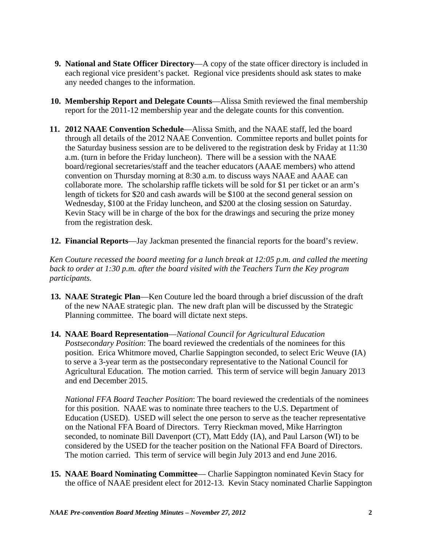- **9. National and State Officer Directory—A** copy of the state officer directory is included in each regional vice president's packet. Regional vice presidents should ask states to make any needed changes to the information.
- **10. Membership Report and Delegate Counts**—Alissa Smith reviewed the final membership report for the 2011-12 membership year and the delegate counts for this convention.
- **11. 2012 NAAE Convention Schedule**—Alissa Smith, and the NAAE staff, led the board through all details of the 2012 NAAE Convention. Committee reports and bullet points for the Saturday business session are to be delivered to the registration desk by Friday at 11:30 a.m. (turn in before the Friday luncheon). There will be a session with the NAAE board/regional secretaries/staff and the teacher educators (AAAE members) who attend convention on Thursday morning at 8:30 a.m. to discuss ways NAAE and AAAE can collaborate more. The scholarship raffle tickets will be sold for \$1 per ticket or an arm's length of tickets for \$20 and cash awards will be \$100 at the second general session on Wednesday, \$100 at the Friday luncheon, and \$200 at the closing session on Saturday. Kevin Stacy will be in charge of the box for the drawings and securing the prize money from the registration desk.
- **12. Financial Reports**—Jay Jackman presented the financial reports for the board's review.

*Ken Couture recessed the board meeting for a lunch break at 12:05 p.m. and called the meeting back to order at 1:30 p.m. after the board visited with the Teachers Turn the Key program participants.*

- **13. NAAE Strategic Plan**—Ken Couture led the board through a brief discussion of the draft of the new NAAE strategic plan. The new draft plan will be discussed by the Strategic Planning committee. The board will dictate next steps.
- **14. NAAE Board Representation**—*National Council for Agricultural Education Postsecondary Position*: The board reviewed the credentials of the nominees for this position. Erica Whitmore moved, Charlie Sappington seconded, to select Eric Weuve (IA) to serve a 3-year term as the postsecondary representative to the National Council for Agricultural Education. The motion carried. This term of service will begin January 2013 and end December 2015.

*National FFA Board Teacher Position*: The board reviewed the credentials of the nominees for this position. NAAE was to nominate three teachers to the U.S. Department of Education (USED). USED will select the one person to serve as the teacher representative on the National FFA Board of Directors. Terry Rieckman moved, Mike Harrington seconded, to nominate Bill Davenport (CT), Matt Eddy (IA), and Paul Larson (WI) to be considered by the USED for the teacher position on the National FFA Board of Directors. The motion carried. This term of service will begin July 2013 and end June 2016.

 **15. NAAE Board Nominating Committee**— Charlie Sappington nominated Kevin Stacy for the office of NAAE president elect for 2012-13. Kevin Stacy nominated Charlie Sappington